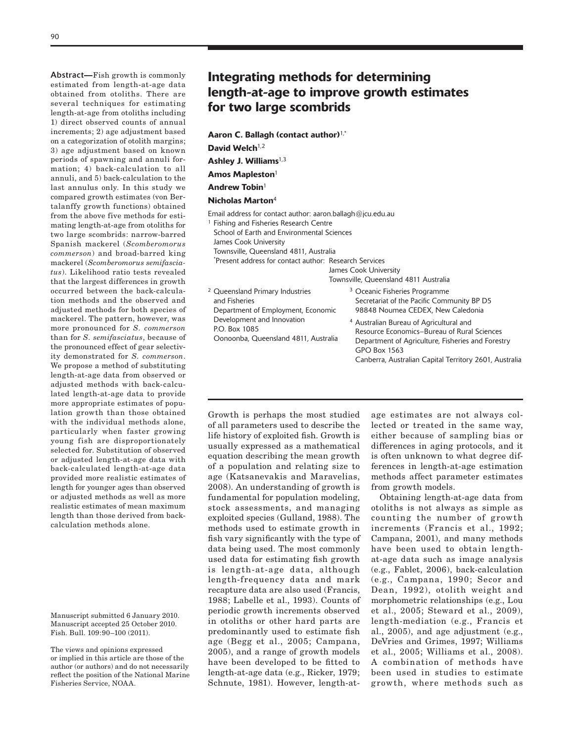Abstract**—**Fish growth is commonly estimated from length-at-age data obtained from otoliths. There are several techniques for estimating length-at-age from otoliths including 1) direct observed counts of annual increments; 2) age adjustment based on a categorization of otolith margins; 3) age adjustment based on known periods of spawning and annuli formation; 4) back-calculation to all annuli, and 5) back-calculation to the last annulus only. In this study we compared growth estimates (von Bertalanffy growth functions) obtained from the above five methods for estimating length-at-age from otoliths for two large scombrids: narrow-barred Spanish mackerel (*Scomberomorus commerson*) and broad-barred king mackerel (*Scomberomorus semifasciatus*). Likelihood ratio tests revealed that the largest differences in growth occurred between the back-calculation methods and the observed and adjusted methods for both species of mackerel. The pattern, however, was more pronounced for *S. commerson* than for *S. semifasciatus*, because of the pronounced effect of gear selectivity demonstrated for *S. commerson*. We propose a method of substituting length-at-age data from observed or adjusted methods with back-calculated length-at-age data to provide more appropriate estimates of population growth than those obtained with the individual methods alone, particularly when faster growing young fish are disproportionately selected for. Substitution of observed or adjusted length-at-age data with back-calculated length-at-age data provided more realistic estimates of length for younger ages than observed or adjusted methods as well as more realistic estimates of mean maximum length than those derived from backcalculation methods alone.

Manuscript submitted 6 January 2010. Manuscript accepted 25 October 2010. Fish. Bull. 109:90–100 (2011).

# Integrating methods for determining length-at-age to improve growth estimates for two large scombrids

Aaron C. Ballagh (contact author)1,\*

David Welch $1,2$ 

Ashley J. Williams $1,3$ 

Amos Mapleston<sup>1</sup>

Andrew Tobin $1$ 

Nicholas Marton<sup>4</sup>

Email address for contact author: aaron.ballagh@jcu.edu.au

<sup>1</sup> Fishing and Fisheries Research Centre

School of Earth and Environmental Sciences

James Cook University

Townsville, Queensland 4811, Australia

\* Present address for contact author: Research Services

James Cook University

Townsville, Queensland 4811 Australia

| <sup>2</sup> Queensland Primary Industries                                          | <sup>3</sup> Oceanic Fisheries Programme                                                                                                                               |
|-------------------------------------------------------------------------------------|------------------------------------------------------------------------------------------------------------------------------------------------------------------------|
| and Fisheries                                                                       | Secretariat of the Pacific Community BP D5                                                                                                                             |
| Department of Employment, Economic                                                  | 98848 Noumea CEDEX, New Caledonia                                                                                                                                      |
| Development and Innovation<br>P.O. Box 1085<br>Oonoonba, Queensland 4811, Australia | <sup>4</sup> Australian Bureau of Agricultural and<br>Resource Economics-Bureau of Rural Sciences<br>Department of Agriculture, Fisheries and Forestry<br>GPO Box 1563 |

Growth is perhaps the most studied of all parameters used to describe the life history of exploited fish. Growth is usually expressed as a mathematical equation describing the mean growth of a population and relating size to age (Katsanevakis and Maravelias, 2008). An understanding of growth is fundamental for population modeling, stock assessments, and managing exploited species (Gulland, 1988). The methods used to estimate growth in fish vary significantly with the type of data being used. The most commonly used data for estimating fish growth is length-at-age data, although length-frequency data and mark recapture data are also used (Francis, 1988; Labelle et al., 1993). Counts of periodic growth increments observed in otoliths or other hard parts are predominantly used to estimate fish age (Begg et al., 2005; Campana, 2005), and a range of growth models have been developed to be fitted to length-at-age data (e.g., Ricker, 1979; Schnute, 1981). However, length-atage estimates are not always collected or treated in the same way, either because of sampling bias or differences in aging protocols, and it is often unknown to what degree differences in length-at-age estimation methods affect parameter estimates from growth models.

Canberra, Australian Capital Territory 2601, Australia

Obtaining length-at-age data from otoliths is not always as simple as counting the number of growth increments (Francis et al., 1992; Campana, 2001), and many methods have been used to obtain lengthat-age data such as image analysis (e.g., Fablet, 2006), back-calculation (e.g., Campana, 1990; Secor and Dean, 1992), otolith weight and morphometric relationships (e.g., Lou et al., 2005; Steward et al., 2009), length-mediation (e.g., Francis et al., 2005), and age adjustment (e.g., DeVries and Grimes, 1997; Williams et al., 2005; Williams et al., 2008). A combination of methods have been used in studies to estimate growth, where methods such as

The views and opinions expressed or implied in this article are those of the author (or authors) and do not necessarily reflect the position of the National Marine Fisheries Service, NOAA.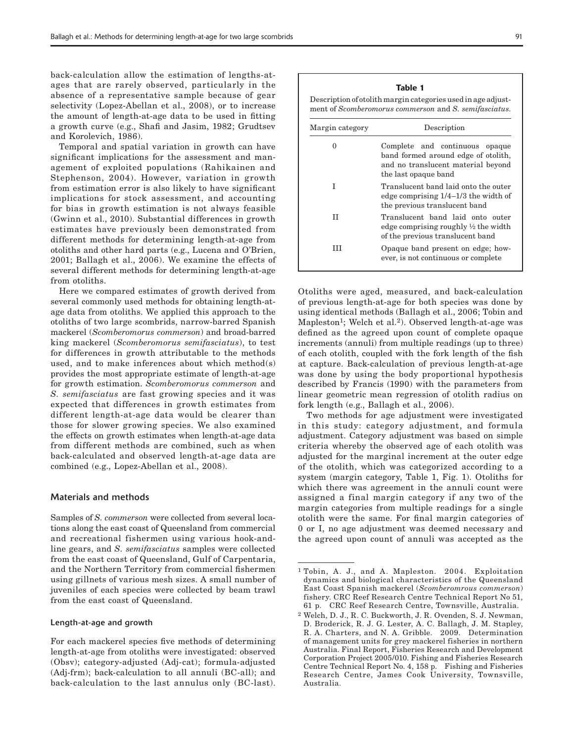back-calculation allow the estimation of lengths-atages that are rarely observed, particularly in the absence of a representative sample because of gear selectivity (Lopez-Abellan et al., 2008), or to increase the amount of length-at-age data to be used in fitting a growth curve (e.g., Shafi and Jasim, 1982; Grudtsev and Korolevich, 1986).

Temporal and spatial variation in growth can have significant implications for the assessment and management of exploited populations (Rahikainen and Stephenson, 2004). However, variation in growth from estimation error is also likely to have significant implications for stock assessment, and accounting for bias in growth estimation is not always feasible (Gwinn et al., 2010). Substantial differences in growth estimates have previously been demonstrated from different methods for determining length-at-age from otoliths and other hard parts (e.g., Lucena and O'Brien, 2001; Ballagh et al., 2006). We examine the effects of several different methods for determining length-at-age from otoliths.

Here we compared estimates of growth derived from several commonly used methods for obtaining length-atage data from otoliths. We applied this approach to the otoliths of two large scombrids, narrow-barred Spanish mackerel (*Scomberomorus commerson*) and broad-barred king mackerel (*Scomberomorus semifasciatus*), to test for differences in growth attributable to the methods used, and to make inferences about which method(s) provides the most appropriate estimate of length-at-age for growth estimation. *Scomberomorus commerson* and *S. semifasciatus* are fast growing species and it was expected that differences in growth estimates from different length-at-age data would be clearer than those for slower growing species. We also examined the effects on growth estimates when length-at-age data from different methods are combined, such as when back-calculated and observed length-at-age data are combined (e.g., Lopez-Abellan et al., 2008).

## Materials and methods

Samples of *S. commerson* were collected from several locations along the east coast of Queensland from commercial and recreational fishermen using various hook-andline gears, and *S. semifasciatus* samples were collected from the east coast of Queensland, Gulf of Carpentaria, and the Northern Territory from commercial fishermen using gillnets of various mesh sizes. A small number of juveniles of each species were collected by beam trawl from the east coast of Queensland.

## Length-at-age and growth

For each mackerel species five methods of determining length-at-age from otoliths were investigated: observed (Obsv); category-adjusted (Adj-cat); formula-adjusted (Adj-frm); back-calculation to all annuli (BC-all); and back-calculation to the last annulus only (BC-last). Description of otolith margin categories used in age adjustment of *Scomberomorus commerson* and *S. semifasciatus*.

| Margin category | Description                                                                                                                         |  |  |  |
|-----------------|-------------------------------------------------------------------------------------------------------------------------------------|--|--|--|
| 0               | Complete and continuous opaque<br>band formed around edge of otolith,<br>and no translucent material beyond<br>the last opaque band |  |  |  |
| T               | Translucent band laid onto the outer<br>edge comprising $1/4-1/3$ the width of<br>the previous translucent band                     |  |  |  |
| H               | Translucent band laid onto outer<br>edge comprising roughly $\frac{1}{2}$ the width<br>of the previous translucent band             |  |  |  |
| Ħ               | Opaque band present on edge; how-<br>ever, is not continuous or complete                                                            |  |  |  |

Otoliths were aged, measured, and back-calculation of previous length-at-age for both species was done by using identical methods (Ballagh et al., 2006; Tobin and Mapleston<sup>1</sup>; Welch et al.<sup>2</sup>). Observed length-at-age was defined as the agreed upon count of complete opaque increments (annuli) from multiple readings (up to three) of each otolith, coupled with the fork length of the fish at capture. Back-calculation of previous length-at-age was done by using the body proportional hypothesis described by Francis (1990) with the parameters from linear geometric mean regression of otolith radius on fork length (e.g., Ballagh et al., 2006).

Two methods for age adjustment were investigated in this study: category adjustment, and formula adjustment. Category adjustment was based on simple criteria whereby the observed age of each otolith was adjusted for the marginal increment at the outer edge of the otolith, which was categorized according to a system (margin category, Table 1, Fig. 1). Otoliths for which there was agreement in the annuli count were assigned a final margin category if any two of the margin categories from multiple readings for a single otolith were the same. For final margin categories of 0 or I, no age adjustment was deemed necessary and the agreed upon count of annuli was accepted as the

<sup>1</sup> Tobin, A. J., and A. Mapleston. 2004. Exploitation dynamics and biological characteristics of the Queensland East Coast Spanish mackerel (*Scomberomrous commerson*) fishery. CRC Reef Research Centre Technical Report No 51, 61 p. CRC Reef Research Centre, Townsville, Australia.

<sup>2</sup> Welch, D. J., R. C. Buckworth, J. R. Ovenden, S. J. Newman, D. Broderick, R. J. G. Lester, A. C. Ballagh, J. M. Stapley, R. A. Charters, and N. A. Gribble. 2009. Determination of management units for grey mackerel fisheries in northern Australia. Final Report, Fisheries Research and Development Corporation Project 2005/010. Fishing and Fisheries Research Centre Technical Report No. 4, 158 p. Fishing and Fisheries Research Centre, James Cook University, Townsville, Australia.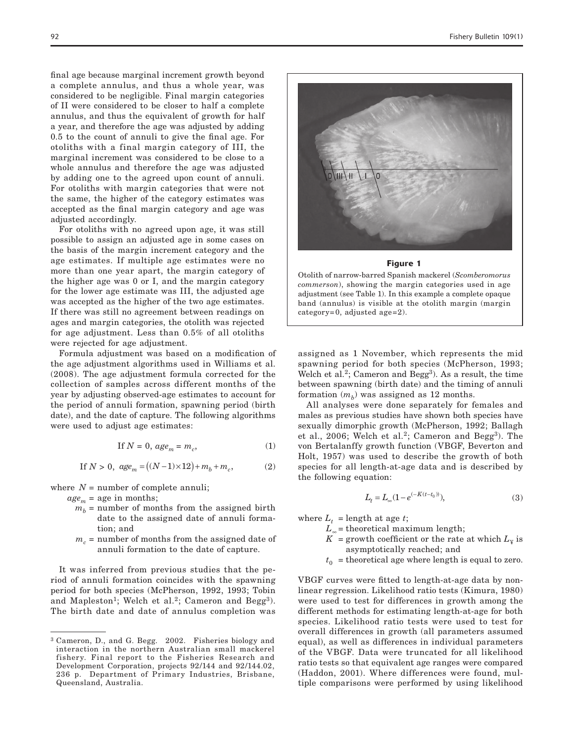final age because marginal increment growth beyond a complete annulus, and thus a whole year, was considered to be negligible. Final margin categories of II were considered to be closer to half a complete annulus, and thus the equivalent of growth for half a year, and therefore the age was adjusted by adding 0.5 to the count of annuli to give the final age. For otoliths with a final margin category of III, the marginal increment was considered to be close to a whole annulus and therefore the age was adjusted by adding one to the agreed upon count of annuli. For otoliths with margin categories that were not the same, the higher of the category estimates was accepted as the final margin category and age was adjusted accordingly.

For otoliths with no agreed upon age, it was still possible to assign an adjusted age in some cases on the basis of the margin increment category and the age estimates. If multiple age estimates were no more than one year apart, the margin category of the higher age was 0 or I, and the margin category for the lower age estimate was III, the adjusted age was accepted as the higher of the two age estimates. If there was still no agreement between readings on ages and margin categories, the otolith was rejected for age adjustment. Less than 0.5% of all otoliths were rejected for age adjustment.

Formula adjustment was based on a modification of the age adjustment algorithms used in Williams et al. (2008). The age adjustment formula corrected for the collection of samples across different months of the year by adjusting observed-age estimates to account for the period of annuli formation, spawning period (birth date), and the date of capture. The following algorithms were used to adjust age estimates:

$$
\text{If } N = 0, \, age_m = m_c,\tag{1}
$$

If 
$$
N > 0
$$
,  $age_m = ((N-1) \times 12) + m_b + m_c$ , (2)

where  $N =$  number of complete annuli;

 $age<sub>m</sub>$  = age in months;

- $m<sub>b</sub>$  = number of months from the assigned birth date to the assigned date of annuli formation; and
- $m<sub>c</sub>$  = number of months from the assigned date of annuli formation to the date of capture.

It was inferred from previous studies that the period of annuli formation coincides with the spawning period for both species (McPherson, 1992, 1993; Tobin and Mapleston<sup>1</sup>; Welch et al.<sup>2</sup>; Cameron and Begg<sup>3</sup>). The birth date and date of annulus completion was



#### Figure 1

Otolith of narrow-barred Spanish mackerel (*Scomberomorus commerson*), showing the margin categories used in age adjustment (see Table 1). In this example a complete opaque band (annulus) is visible at the otolith margin (margin category=0, adjusted age=2).

assigned as 1 November, which represents the mid spawning period for both species (McPherson, 1993; Welch et al.<sup>2</sup>; Cameron and Begg<sup>3</sup>). As a result, the time between spawning (birth date) and the timing of annuli formation  $(m_h)$  was assigned as 12 months.

All analyses were done separately for females and males as previous studies have shown both species have sexually dimorphic growth (McPherson, 1992; Ballagh et al., 2006; Welch et al.<sup>2</sup>; Cameron and Begg<sup>3</sup>). The von Bertalanffy growth function (VBGF, Beverton and Holt, 1957) was used to describe the growth of both species for all length-at-age data and is described by the following equation:

$$
L_t = L_\infty (1 - e^{(-K(t - t_0)))},\tag{3}
$$

where  $L_t$  = length at age *t*;

- $L_{\infty}$  = theoretical maximum length;
- $K =$  growth coefficient or the rate at which  $L_y$  is asymptotically reached; and
- $t_0$  = theoretical age where length is equal to zero.

VBGF curves were fitted to length-at-age data by nonlinear regression. Likelihood ratio tests (Kimura, 1980) were used to test for differences in growth among the different methods for estimating length-at-age for both species. Likelihood ratio tests were used to test for overall differences in growth (all parameters assumed equal), as well as differences in individual parameters of the VBGF. Data were truncated for all likelihood ratio tests so that equivalent age ranges were compared (Haddon, 2001). Where differences were found, multiple comparisons were performed by using likelihood

<sup>3</sup> Cameron, D., and G. Begg. 2002. Fisheries biology and interaction in the northern Australian small mackerel fishery. Final report to the Fisheries Research and Development Corporation, projects 92/144 and 92/144.02, 236 p. Department of Primary Industries, Brisbane, Queensland, Australia.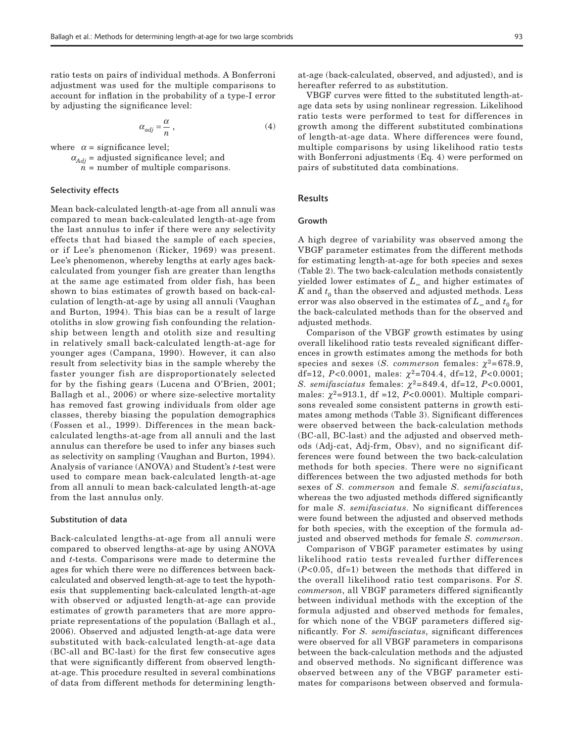ratio tests on pairs of individual methods. A Bonferroni adjustment was used for the multiple comparisons to account for inflation in the probability of a type-I error by adjusting the significance level:

$$
\alpha_{adj} = \frac{\alpha}{n},\tag{4}
$$

where  $\alpha$  = significance level;

 $\alpha_{Adj}$  = adjusted significance level; and

 $n =$  number of multiple comparisons.

#### Selectivity effects

Mean back-calculated length-at-age from all annuli was compared to mean back-calculated length-at-age from the last annulus to infer if there were any selectivity effects that had biased the sample of each species, or if Lee's phenomenon (Ricker, 1969) was present. Lee's phenomenon, whereby lengths at early ages backcalculated from younger fish are greater than lengths at the same age estimated from older fish, has been shown to bias estimates of growth based on back-calculation of length-at-age by using all annuli (Vaughan and Burton, 1994). This bias can be a result of large otoliths in slow growing fish confounding the relationship between length and otolith size and resulting in relatively small back-calculated length-at-age for younger ages (Campana, 1990). However, it can also result from selectivity bias in the sample whereby the faster younger fish are disproportionately selected for by the fishing gears (Lucena and O'Brien, 2001; Ballagh et al., 2006) or where size-selective mortality has removed fast growing individuals from older age classes, thereby biasing the population demographics (Fossen et al., 1999). Differences in the mean backcalculated lengths-at-age from all annuli and the last annulus can therefore be used to infer any biases such as selectivity on sampling (Vaughan and Burton, 1994). Analysis of variance (ANOVA) and Student's *t*-test were used to compare mean back-calculated length-at-age from all annuli to mean back-calculated length-at-age from the last annulus only.

#### Substitution of data

Back-calculated lengths-at-age from all annuli were compared to observed lengths-at-age by using ANOVA and *t*-tests. Comparisons were made to determine the ages for which there were no differences between backcalculated and observed length-at-age to test the hypothesis that supplementing back-calculated length-at-age with observed or adjusted length-at-age can provide estimates of growth parameters that are more appropriate representations of the population (Ballagh et al., 2006). Observed and adjusted length-at-age data were substituted with back-calculated length-at-age data (BC-all and BC-last) for the first few consecutive ages that were significantly different from observed lengthat-age. This procedure resulted in several combinations of data from different methods for determining lengthat-age (back-calculated, observed, and adjusted), and is hereafter referred to as substitution.

VBGF curves were fitted to the substituted length-atage data sets by using nonlinear regression. Likelihood ratio tests were performed to test for differences in growth among the different substituted combinations of length-at-age data. Where differences were found, multiple comparisons by using likelihood ratio tests with Bonferroni adjustments (Eq. 4) were performed on pairs of substituted data combinations.

## Results

#### Growth

A high degree of variability was observed among the VBGF parameter estimates from the different methods for estimating length-at-age for both species and sexes (Table 2). The two back-calculation methods consistently yielded lower estimates of *L*∞ and higher estimates of  $K$  and  $t_0$  than the observed and adjusted methods. Less error was also observed in the estimates of  $L_{\infty}$  and  $t_0$  for the back-calculated methods than for the observed and adjusted methods.

Comparison of the VBGF growth estimates by using overall likelihood ratio tests revealed significant differences in growth estimates among the methods for both species and sexes (*S. commerson* females:  $\chi^2$ =678.9, df=12, P<0.0001, males:  $χ²=704.4$ , df=12, P<0.0001; *S. semifasciatus* females:  $\chi^2 = 849.4$ , df=12, *P*<0.0001, males:  $\chi^2$ =913.1, df =12, *P*<0.0001). Multiple comparisons revealed some consistent patterns in growth estimates among methods (Table 3). Significant differences were observed between the back-calculation methods (BC-all, BC-last) and the adjusted and observed methods (Adj-cat, Adj-frm, Obsv), and no significant differences were found between the two back-calculation methods for both species. There were no significant differences between the two adjusted methods for both sexes of *S. commerson* and female *S. semifasciatus*, whereas the two adjusted methods differed significantly for male *S. semifasciatus*. No significant differences were found between the adjusted and observed methods for both species, with the exception of the formula adjusted and observed methods for female *S. commerson*.

Comparison of VBGF parameter estimates by using likelihood ratio tests revealed further differences (*P*<0.05, df=1) between the methods that differed in the overall likelihood ratio test comparisons. For *S. commerson*, all VBGF parameters differed significantly between individual methods with the exception of the formula adjusted and observed methods for females, for which none of the VBGF parameters differed significantly. For *S. semifasciatus*, significant differences were observed for all VBGF parameters in comparisons between the back-calculation methods and the adjusted and observed methods. No significant difference was observed between any of the VBGF parameter estimates for comparisons between observed and formula-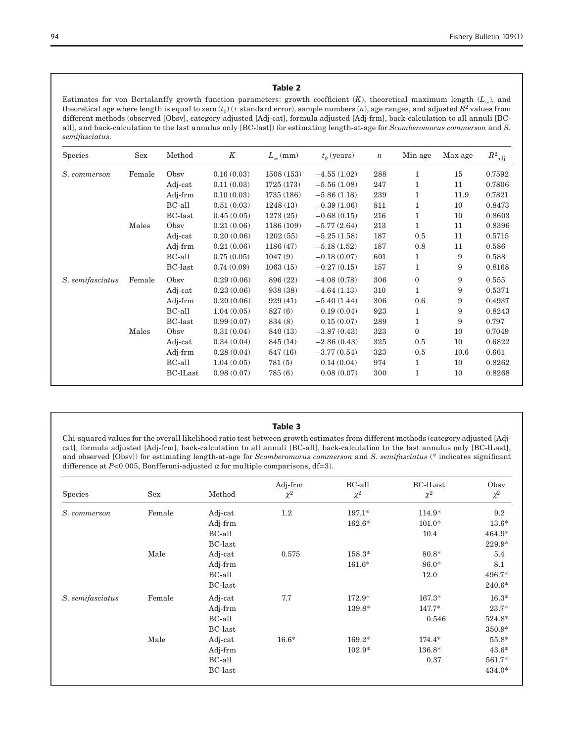# Table 2

Estimates for von Bertalanffy growth function parameters: growth coefficient (*K*), theoretical maximum length (*L*∞), and theoretical age where length is equal to zero  $(t_0)$  ( $\pm$  standard error), sample numbers  $(n)$ , age ranges, and adjusted  $R^2$  values from different methods (observed [Obsv], category-adjusted [Adj-cat], formula adjusted [Adj-frm], back-calculation to all annuli [BCall], and back-calculation to the last annulus only [BC-last]) for estimating length-at-age for *Scomberomorus commerson* and *S. semifasciatus*.

| <b>Species</b>   | <b>Sex</b> | Method          | K          | $L_{\infty}$ (mm) | $t_0$ (years) | $\boldsymbol{n}$ | Min age      | Max age | $R^2_{\ \, \rm adj}$ |
|------------------|------------|-----------------|------------|-------------------|---------------|------------------|--------------|---------|----------------------|
| S. commerson     | Female     | Obsy            | 0.16(0.03) | 1508 (153)        | $-4.55(1.02)$ | 288              | 1            | 15      | 0.7592               |
|                  |            | Adj-cat         | 0.11(0.03) | 1725 (173)        | $-5.56(1.08)$ | 247              | 1            | 11      | 0.7806               |
|                  |            | Adj-frm         | 0.10(0.03) | 1735 (186)        | $-5.86(1.18)$ | 239              | 1            | 11.9    | 0.7821               |
|                  |            | BC-all          | 0.51(0.03) | 1248(13)          | $-0.39(1.06)$ | 811              | 1            | 10      | 0.8473               |
|                  |            | <b>BC-last</b>  | 0.45(0.05) | 1273(25)          | $-0.68(0.15)$ | 216              | 1            | 10      | 0.8603               |
|                  | Males      | Obsy            | 0.21(0.06) | 1186 (109)        | $-5.77(2.64)$ | 213              | 1            | 11      | 0.8396               |
|                  |            | Adj-cat         | 0.20(0.06) | 1202(55)          | $-5.25(1.58)$ | 187              | 0.5          | 11      | 0.5715               |
|                  |            | Adj-frm         | 0.21(0.06) | 1186(47)          | $-5.18(1.52)$ | 187              | 0.8          | 11      | 0.586                |
|                  |            | BC-all          | 0.75(0.05) | 1047(9)           | $-0.18(0.07)$ | 601              | 1            | 9       | 0.588                |
|                  |            | <b>BC-last</b>  | 0.74(0.09) | 1063(15)          | $-0.27(0.15)$ | 157              | 1            | 9       | 0.8168               |
| S. semifasciatus | Female     | Obsy            | 0.29(0.06) | 896 (22)          | $-4.08(0.78)$ | 306              | $\mathbf{0}$ | 9       | 0.555                |
|                  |            | Adj-cat         | 0.23(0.06) | 938 (38)          | $-4.64(1.13)$ | 310              | 1            | 9       | 0.5371               |
|                  |            | Adj-frm         | 0.20(0.06) | 929(41)           | $-5.40(1.44)$ | 306              | 0.6          | 9       | 0.4937               |
|                  |            | BC-all          | 1.04(0.05) | 827(6)            | 0.19(0.04)    | 923              | 1            | 9       | 0.8243               |
|                  |            | <b>BC-last</b>  | 0.99(0.07) | 834 (8)           | 0.15(0.07)    | 289              | 1            | 9       | 0.797                |
|                  | Males      | Obsy            | 0.31(0.04) | 840 (13)          | $-3.87(0.43)$ | 323              | $\mathbf{0}$ | 10      | 0.7049               |
|                  |            | Adj-cat         | 0.34(0.04) | 845 (14)          | $-2.86(0.43)$ | 325              | 0.5          | 10      | 0.6822               |
|                  |            | Adj-frm         | 0.28(0.04) | 847 (16)          | $-3.77(0.54)$ | 323              | 0.5          | 10.6    | 0.661                |
|                  |            | BC-all          | 1.04(0.05) | 781(5)            | 0.14(0.04)    | 974              | 1            | 10      | 0.8262               |
|                  |            | <b>BC-lLast</b> | 0.98(0.07) | 785(6)            | 0.08(0.07)    | 300              | 1            | 10      | 0.8268               |

## Table 3

Chi-squared values for the overall likelihood ratio test between growth estimates from different methods (category adjusted [Adjcat], formula adjusted [Adj-frm], back-calculation to all annuli [BC-all], back-calculation to the last annulus only [BC-lLast], and observed [Obsv]) for estimating length-at-age for *Scomberomorus commerson* and *S. semifasciatus* (\* indicates significant difference at  $P<0.005$ , Bonfferoni-adjusted  $\alpha$  for multiple comparisons, df=3).

| <b>Species</b>   | Sex    | Method         | Adj-frm<br>$\chi^2$ | BC-all<br>$\chi^2$ | <b>BC-lLast</b><br>$\chi^2$ | Obsv<br>$\chi^2$ |
|------------------|--------|----------------|---------------------|--------------------|-----------------------------|------------------|
| S. commerson     | Female | Adj-cat        | $1.2\,$             | $197.1*$           | 114.9*                      | 9.2              |
|                  |        | Adj-frm        |                     | $162.6*$           | $101.0*$                    | $13.6*$          |
|                  |        | BC-all         |                     |                    | 10.4                        | 464.9*           |
|                  |        | <b>BC-last</b> |                     |                    |                             | 229.9*           |
|                  | Male   | Adj-cat        | 0.575               | $158.3*$           | 80.8*                       | 5.4              |
|                  |        | Adj-frm        |                     | $161.6*$           | 86.0*                       | 8.1              |
|                  |        | BC-all         |                     |                    | 12.0                        | 496.7*           |
|                  |        | <b>BC-last</b> |                     |                    |                             | 240.6*           |
| S. semifasciatus | Female | Adj-cat        | 7.7                 | 172.9*             | $167.3*$                    | $16.3*$          |
|                  |        | Adj-frm        |                     | 139.8*             | 147.7*                      | $23.7*$          |
|                  |        | BC-all         |                     |                    | 0.546                       | 524.8*           |
|                  |        | <b>BC-last</b> |                     |                    |                             | 350.9*           |
|                  | Male   | Adj-cat        | $16.6*$             | $169.2*$           | 174.4*                      | $55.8*$          |
|                  |        | Adj-frm        |                     | $102.9*$           | 136.8*                      | $43.6*$          |
|                  |        | BC-all         |                     |                    | 0.37                        | 561.7*           |
|                  |        | <b>BC-last</b> |                     |                    |                             | 434.0*           |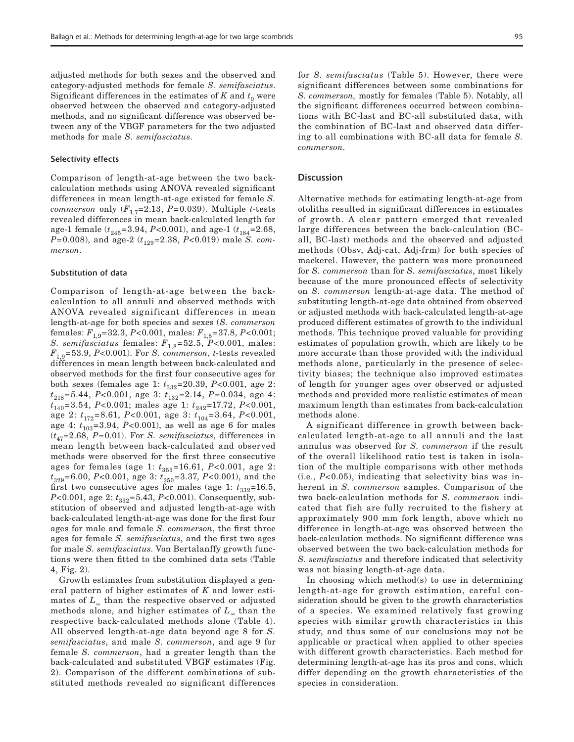adjusted methods for both sexes and the observed and category-adjusted methods for female *S. semifasciatus*. Significant differences in the estimates of  $K$  and  $t_0$  were observed between the observed and category-adjusted methods, and no significant difference was observed between any of the VBGF parameters for the two adjusted methods for male *S. semifasciatus*.

#### Selectivity effects

Comparison of length-at-age between the two backcalculation methods using ANOVA revealed significant differences in mean length-at-age existed for female *S. commerson* only  $(F_{17}=2.13, P=0.039)$ . Multiple *t*-tests revealed differences in mean back-calculated length for age-1 female ( $t_{245}$ =3.94, *P*<0.001), and age-1 ( $t_{184}$ =2.68, *P*=0.008), and age-2 ( $t_{129}$ =2.38, *P*<0.019) male *S. commerson*.

## Substitution of data

Comparison of length-at-age between the backcalculation to all annuli and observed methods with ANOVA revealed significant differences in mean length-at-age for both species and sexes (*S. commerson* females: *F*1,9=32.3, *P*<0.001, males: *F*1,8=37.8, *P*<0.001; *S. semifasciatus* females:  $F_{1,8}$ =52.5, *P*<0.001, males:  $F_{1,9}$ =53.9, *P*<0.001). For *S. commerson*, *t*-tests revealed differences in mean length between back-calculated and observed methods for the first four consecutive ages for both sexes (females age 1:  $t_{332}$ =20.39, *P*<0.001, age 2: *t*218=5.44, *P*<0.001, age 3: *t*132=2.14, *P*=0.034, age 4: *t*<sub>140</sub>=3.54, *P*<0.001; males age 1:  $t_{242}$ =17.72, *P*<0.001, age 2: *t*172=8.61, *P*<0.001, age 3: *t*104=3.64, *P*<0.001, age 4:  $t_{103}$ =3.94, *P*<0.001), as well as age 6 for males  $(t_{47}=2.68, P=0.01)$ . For *S. semifasciatus*, differences in mean length between back-calculated and observed methods were observed for the first three consecutive ages for females (age 1:  $t_{353}=16.61, P<0.001$ , age 2: *t*<sub>329</sub>=6.00, *P*<0.001, age 3: *t*<sub>250</sub>=3.37, *P*<0.001), and the first two consecutive ages for males (age 1:  $t_{332}$ =16.5, *P*<0.001, age 2:  $t_{332}$ =5.43, *P*<0.001). Consequently, substitution of observed and adjusted length-at-age with back-calculated length-at-age was done for the first four ages for male and female *S. commerson*, the first three ages for female *S. semifasciatus*, and the first two ages for male *S. semifasciatus*. Von Bertalanffy growth functions were then fitted to the combined data sets (Table 4, Fig. 2).

Growth estimates from substitution displayed a general pattern of higher estimates of *K* and lower estimates of *L*<sup>∞</sup> than the respective observed or adjusted methods alone, and higher estimates of *L*∞ than the respective back-calculated methods alone (Table 4). All observed length-at-age data beyond age 8 for *S. semifasciatus*, and male *S. commerson*, and age 9 for female *S. commerson*, had a greater length than the back-calculated and substituted VBGF estimates (Fig. 2). Comparison of the different combinations of substituted methods revealed no significant differences for *S. semifasciatus* (Table 5). However, there were significant differences between some combinations for *S. commerson,* mostly for females (Table 5). Notably, all the significant differences occurred between combinations with BC-last and BC-all substituted data, with the combination of BC-last and observed data differing to all combinations with BC-all data for female *S. commerson*.

#### **Discussion**

Alternative methods for estimating length-at-age from otoliths resulted in significant differences in estimates of growth. A clear pattern emerged that revealed large differences between the back-calculation (BCall, BC-last) methods and the observed and adjusted methods (Obsv, Adj-cat, Adj-frm) for both species of mackerel. However, the pattern was more pronounced for *S. commerson* than for *S. semifasciatus*, most likely because of the more pronounced effects of selectivity on *S. commerson* length-at-age data. The method of substituting length-at-age data obtained from observed or adjusted methods with back-calculated length-at-age produced different estimates of growth to the individual methods. This technique proved valuable for providing estimates of population growth, which are likely to be more accurate than those provided with the individual methods alone, particularly in the presence of selectivity biases; the technique also improved estimates of length for younger ages over observed or adjusted methods and provided more realistic estimates of mean maximum length than estimates from back-calculation methods alone.

A significant difference in growth between backcalculated length-at-age to all annuli and the last annulus was observed for *S. commerson* if the result of the overall likelihood ratio test is taken in isolation of the multiple comparisons with other methods (i.e., *P*<0.05), indicating that selectivity bias was inherent in *S. commerson* samples. Comparison of the two back-calculation methods for *S. commerson* indicated that fish are fully recruited to the fishery at approximately 900 mm fork length, above which no difference in length-at-age was observed between the back-calculation methods. No significant difference was observed between the two back-calculation methods for *S. semifasciatus* and therefore indicated that selectivity was not biasing length-at-age data.

In choosing which method(s) to use in determining length-at-age for growth estimation, careful consideration should be given to the growth characteristics of a species. We examined relatively fast growing species with similar growth characteristics in this study, and thus some of our conclusions may not be applicable or practical when applied to other species with different growth characteristics. Each method for determining length-at-age has its pros and cons, which differ depending on the growth characteristics of the species in consideration.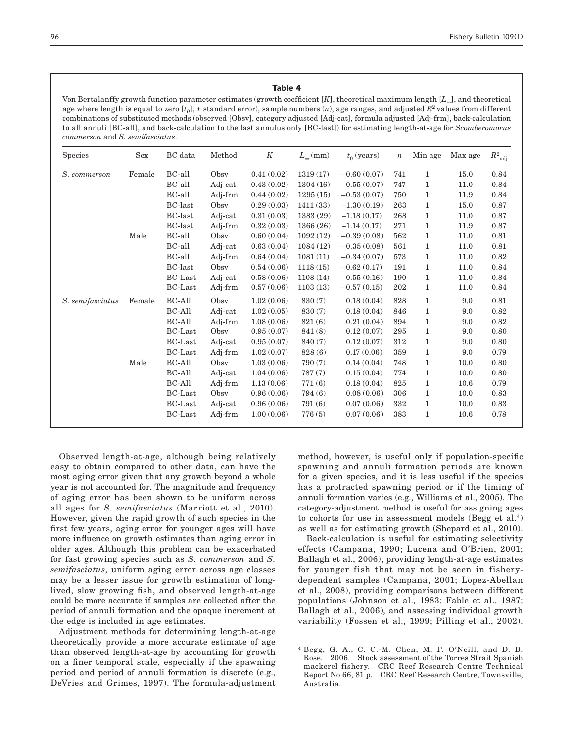#### Table 4

Von Bertalanffy growth function parameter estimates (growth coefficient [*K*], theoretical maximum length [*L*∞], and theoretical age where length is equal to zero  $[t_0]$ ,  $\pm$  standard error), sample numbers  $(n)$ , age ranges, and adjusted  $R^2$  values from different combinations of substituted methods (observed [Obsv], category adjusted [Adj-cat], formula adjusted [Adj-frm], back-calculation to all annuli [BC-all], and back-calculation to the last annulus only [BC-last]) for estimating length-at-age for *Scomberomorus commerson* and *S. semifasciatus*.

| Species          | Sex    | BC data        | Method  | K          | $L_{\infty}$ (mm) | $t_0$ (years) | $\boldsymbol{n}$ | Min age      | Max age | $R^2_{\ \mathrm{adj}}$ |
|------------------|--------|----------------|---------|------------|-------------------|---------------|------------------|--------------|---------|------------------------|
| S. commerson     | Female | BC-all         | Obsy    | 0.41(0.02) | 1319(17)          | $-0.60(0.07)$ | 741              | 1            | 15.0    | 0.84                   |
|                  |        | BC-all         | Adj-cat | 0.43(0.02) | 1304(16)          | $-0.55(0.07)$ | 747              | 1            | 11.0    | 0.84                   |
|                  |        | BC-all         | Adj-frm | 0.44(0.02) | 1295(15)          | $-0.53(0.07)$ | 750              | $\mathbf{1}$ | 11.9    | 0.84                   |
|                  |        | <b>BC-last</b> | Obsy    | 0.29(0.03) | 1411(33)          | $-1.30(0.19)$ | 263              | 1            | 15.0    | 0.87                   |
|                  |        | <b>BC-last</b> | Adj-cat | 0.31(0.03) | 1383 (29)         | $-1.18(0.17)$ | 268              | 1            | 11.0    | 0.87                   |
|                  |        | <b>BC-last</b> | Adj-frm | 0.32(0.03) | 1366(26)          | $-1.14(0.17)$ | 271              | 1            | 11.9    | 0.87                   |
|                  | Male   | BC-all         | Obsv    | 0.60(0.04) | 1092(12)          | $-0.39(0.08)$ | 562              | 1            | 11.0    | 0.81                   |
|                  |        | BC-all         | Adj-cat | 0.63(0.04) | 1084(12)          | $-0.35(0.08)$ | 561              | $\mathbf{1}$ | 11.0    | 0.81                   |
|                  |        | BC-all         | Adj-frm | 0.64(0.04) | 1081(11)          | $-0.34(0.07)$ | 573              | 1            | 11.0    | 0.82                   |
|                  |        | <b>BC-last</b> | Obsy    | 0.54(0.06) | 1118(15)          | $-0.62(0.17)$ | 191              | 1            | 11.0    | 0.84                   |
|                  |        | <b>BC-Last</b> | Adj-cat | 0.58(0.06) | 1108(14)          | $-0.55(0.16)$ | 190              | 1            | 11.0    | 0.84                   |
|                  |        | <b>BC-Last</b> | Adj-frm | 0.57(0.06) | 1103(13)          | $-0.57(0.15)$ | 202              | 1            | 11.0    | 0.84                   |
| S. semifasciatus | Female | BC-All         | Obsy    | 1.02(0.06) | 830 (7)           | 0.18(0.04)    | 828              | $\mathbf{1}$ | 9.0     | 0.81                   |
|                  |        | BC-All         | Adj-cat | 1.02(0.05) | 830 (7)           | 0.18(0.04)    | 846              | 1            | 9.0     | 0.82                   |
|                  |        | BC-All         | Adj-frm | 1.08(0.06) | 821(6)            | 0.21(0.04)    | 894              | 1            | 9.0     | 0.82                   |
|                  |        | <b>BC-Last</b> | Obsy    | 0.95(0.07) | 841 (8)           | 0.12(0.07)    | 295              | 1            | 9.0     | 0.80                   |
|                  |        | <b>BC-Last</b> | Adj-cat | 0.95(0.07) | 840 $(7)$         | 0.12(0.07)    | 312              | 1            | 9.0     | 0.80                   |
|                  |        | <b>BC-Last</b> | Adj-frm | 1.02(0.07) | 828(6)            | 0.17(0.06)    | 359              | 1            | 9.0     | 0.79                   |
|                  | Male   | BC-All         | Obsv    | 1.03(0.06) | 790(7)            | 0.14(0.04)    | 748              | 1            | 10.0    | 0.80                   |
|                  |        | <b>BC-All</b>  | Adj-cat | 1.04(0.06) | 787(7)            | 0.15(0.04)    | 774              | $\mathbf{1}$ | 10.0    | 0.80                   |
|                  |        | BC-All         | Adj-frm | 1.13(0.06) | 771(6)            | 0.18(0.04)    | 825              | 1            | 10.6    | 0.79                   |
|                  |        | <b>BC-Last</b> | Obsy    | 0.96(0.06) | 794(6)            | 0.08(0.06)    | 306              | 1            | 10.0    | 0.83                   |
|                  |        | <b>BC-Last</b> | Adj-cat | 0.96(0.06) | 791(6)            | 0.07(0.06)    | 332              | 1            | 10.0    | 0.83                   |
|                  |        | <b>BC-Last</b> | Adj-frm | 1.00(0.06) | 776(5)            | 0.07(0.06)    | 383              | 1            | 10.6    | 0.78                   |

Observed length-at-age, although being relatively easy to obtain compared to other data, can have the most aging error given that any growth beyond a whole year is not accounted for. The magnitude and frequency of aging error has been shown to be uniform across all ages for *S. semifasciatus* (Marriott et al., 2010). However, given the rapid growth of such species in the first few years, aging error for younger ages will have more influence on growth estimates than aging error in older ages. Although this problem can be exacerbated for fast growing species such as *S. commerson* and *S. semifasciatus*, uniform aging error across age classes may be a lesser issue for growth estimation of longlived, slow growing fish, and observed length-at-age could be more accurate if samples are collected after the period of annuli formation and the opaque increment at the edge is included in age estimates.

Adjustment methods for determining length-at-age theoretically provide a more accurate estimate of age than observed length-at-age by accounting for growth on a finer temporal scale, especially if the spawning period and period of annuli formation is discrete (e.g., DeVries and Grimes, 1997). The formula-adjustment method, however, is useful only if population-specific spawning and annuli formation periods are known for a given species, and it is less useful if the species has a protracted spawning period or if the timing of annuli formation varies (e.g., Williams et al., 2005). The category-adjustment method is useful for assigning ages to cohorts for use in assessment models (Begg et al.<sup>4</sup>) as well as for estimating growth (Shepard et al., 2010).

Back-calculation is useful for estimating selectivity effects (Campana, 1990; Lucena and O'Brien, 2001; Ballagh et al., 2006), providing length-at-age estimates for younger fish that may not be seen in fisherydependent samples (Campana, 2001; Lopez-Abellan et al., 2008), providing comparisons between different populations (Johnson et al., 1983; Fable et al., 1987; Ballagh et al., 2006), and assessing individual growth variability (Fossen et al., 1999; Pilling et al., 2002).

<sup>4</sup> Begg, G. A., C. C.-M. Chen, M. F. O'Neill, and D. B. Rose. 2006. Stock assessment of the Torres Strait Spanish mackerel fishery. CRC Reef Research Centre Technical Report No 66, 81 p. CRC Reef Research Centre, Townsville, Australia.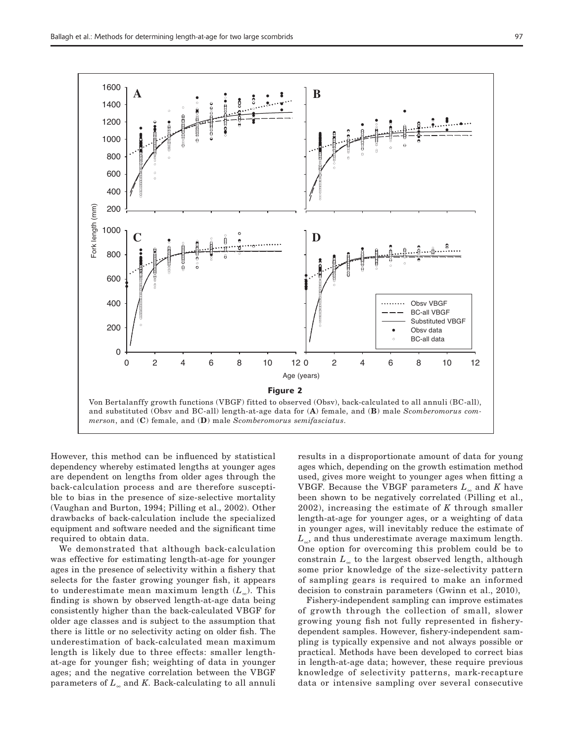

However, this method can be influenced by statistical dependency whereby estimated lengths at younger ages are dependent on lengths from older ages through the back-calculation process and are therefore susceptible to bias in the presence of size-selective mortality (Vaughan and Burton, 1994; Pilling et al., 2002). Other drawbacks of back-calculation include the specialized equipment and software needed and the significant time required to obtain data.

We demonstrated that although back-calculation was effective for estimating length-at-age for younger ages in the presence of selectivity within a fishery that selects for the faster growing younger fish, it appears to underestimate mean maximum length (*L*∞). This finding is shown by observed length-at-age data being consistently higher than the back-calculated VBGF for older age classes and is subject to the assumption that there is little or no selectivity acting on older fish. The underestimation of back-calculated mean maximum length is likely due to three effects: smaller lengthat-age for younger fish; weighting of data in younger ages; and the negative correlation between the VBGF parameters of *L*∞ and *K*. Back-calculating to all annuli

results in a disproportionate amount of data for young ages which, depending on the growth estimation method used, gives more weight to younger ages when fitting a VBGF. Because the VBGF parameters *L*∞ and *K* have been shown to be negatively correlated (Pilling et al., 2002), increasing the estimate of *K* through smaller length-at-age for younger ages, or a weighting of data in younger ages, will inevitably reduce the estimate of *L*∞, and thus underestimate average maximum length. One option for overcoming this problem could be to constrain *L*∞ to the largest observed length, although some prior knowledge of the size-selectivity pattern of sampling gears is required to make an informed decision to constrain parameters (Gwinn et al., 2010),

Fishery-independent sampling can improve estimates of growth through the collection of small, slower growing young fish not fully represented in fisherydependent samples. However, fishery-independent sampling is typically expensive and not always possible or practical. Methods have been developed to correct bias in length-at-age data; however, these require previous knowledge of selectivity patterns, mark-recapture data or intensive sampling over several consecutive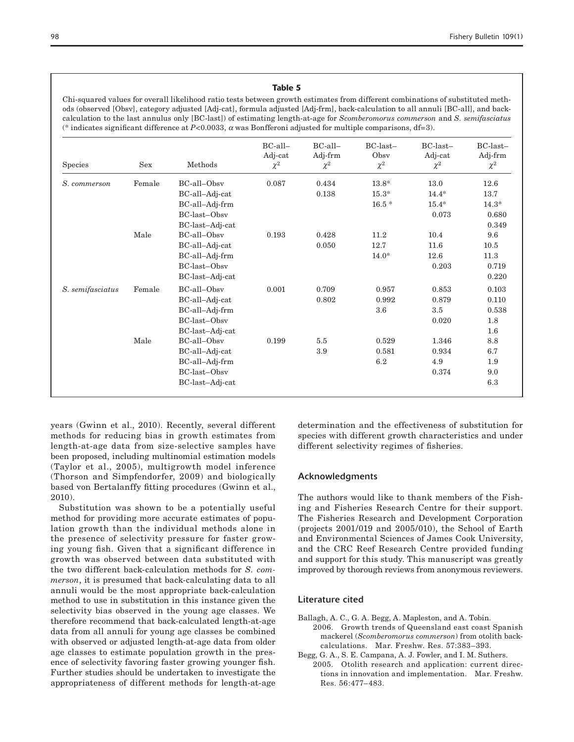## Table 5

Chi-squared values for overall likelihood ratio tests between growth estimates from different combinations of substituted methods (observed [Obsv], category adjusted [Adj-cat], formula adjusted [Adj-frm], back-calculation to all annuli [BC-all], and backcalculation to the last annulus only [BC-last]) of estimating length-at-age for *Scomberomorus commerson* and *S. semifasciatus* (\* indicates significant difference at *P*<0.0033, α was Bonfferoni adjusted for multiple comparisons, df=3).

| Species          | <b>Sex</b> | Methods         | BC-all-<br>Adj-cat<br>$\chi^2$ | BC-all-<br>Adj-frm<br>$\chi^2$ | $BC-last -$<br>Obsv<br>$\chi^2$ | BC-last-<br>Adj-cat<br>$\chi^2$ | $BC\text{-}last-$<br>Adj-frm<br>$\chi^2$ |
|------------------|------------|-----------------|--------------------------------|--------------------------------|---------------------------------|---------------------------------|------------------------------------------|
| S. commerson     | Female     | BC-all-Obsy     | 0.087                          | 0.434                          | $13.8*$                         | 13.0                            | 12.6                                     |
|                  |            | BC-all-Adj-cat  |                                | 0.138                          | $15.3*$                         | $14.4*$                         | 13.7                                     |
|                  |            | BC-all-Adj-frm  |                                |                                | $16.5 *$                        | $15.4*$                         | $14.3*$                                  |
|                  |            | BC-last-Obsy    |                                |                                |                                 | 0.073                           | 0.680                                    |
|                  |            | BC-last-Adj-cat |                                |                                |                                 |                                 | 0.349                                    |
|                  | Male       | BC-all-Obsy     | 0.193                          | 0.428                          | 11.2                            | 10.4                            | 9.6                                      |
|                  |            | BC-all-Adj-cat  |                                | 0.050                          | 12.7                            | 11.6                            | 10.5                                     |
|                  |            | BC-all-Adj-frm  |                                |                                | $14.0*$                         | 12.6                            | 11.3                                     |
|                  |            | BC-last-Obsy    |                                |                                |                                 | 0.203                           | 0.719                                    |
|                  |            | BC-last-Adj-cat |                                |                                |                                 |                                 | 0.220                                    |
| S. semifasciatus | Female     | BC-all-Obsv     | 0.001                          | 0.709                          | 0.957                           | 0.853                           | 0.103                                    |
|                  |            | BC-all-Adj-cat  |                                | 0.802                          | 0.992                           | 0.879                           | 0.110                                    |
|                  |            | BC-all-Adj-frm  |                                |                                | $3.6\,$                         | 3.5                             | 0.538                                    |
|                  |            | BC-last-Obsy    |                                |                                |                                 | 0.020                           | 1.8                                      |
|                  |            | BC-last-Adj-cat |                                |                                |                                 |                                 | $1.6\,$                                  |
|                  | Male       | BC-all-Obsv     | 0.199                          | 5.5                            | 0.529                           | 1.346                           | 8.8                                      |
|                  |            | BC-all-Adj-cat  |                                | 3.9                            | 0.581                           | 0.934                           | 6.7                                      |
|                  |            | BC-all-Adj-frm  |                                |                                | 6.2                             | 4.9                             | 1.9                                      |
|                  |            | BC-last-Obsv    |                                |                                |                                 | 0.374                           | 9.0                                      |
|                  |            | BC-last-Adj-cat |                                |                                |                                 |                                 | $6.3\,$                                  |

years (Gwinn et al., 2010). Recently, several different methods for reducing bias in growth estimates from length-at-age data from size-selective samples have been proposed, including multinomial estimation models (Taylor et al., 2005), multigrowth model inference (Thorson and Simpfendorfer, 2009) and biologically based von Bertalanffy fitting procedures (Gwinn et al., 2010).

Substitution was shown to be a potentially useful method for providing more accurate estimates of population growth than the individual methods alone in the presence of selectivity pressure for faster growing young fish. Given that a significant difference in growth was observed between data substituted with the two different back-calculation methods for *S. commerson*, it is presumed that back-calculating data to all annuli would be the most appropriate back-calculation method to use in substitution in this instance given the selectivity bias observed in the young age classes. We therefore recommend that back-calculated length-at-age data from all annuli for young age classes be combined with observed or adjusted length-at-age data from older age classes to estimate population growth in the presence of selectivity favoring faster growing younger fish. Further studies should be undertaken to investigate the appropriateness of different methods for length-at-age

determination and the effectiveness of substitution for species with different growth characteristics and under different selectivity regimes of fisheries.

#### Acknowledgments

The authors would like to thank members of the Fishing and Fisheries Research Centre for their support. The Fisheries Research and Development Corporation (projects 2001/019 and 2005/010), the School of Earth and Environmental Sciences of James Cook University, and the CRC Reef Research Centre provided funding and support for this study. This manuscript was greatly improved by thorough reviews from anonymous reviewers.

#### Literature cited

- Ballagh, A. C., G. A. Begg, A. Mapleston, and A. Tobin. 2006. Growth trends of Queensland east coast Spanish mackerel (*Scomberomorus commerson*) from otolith backcalculations. Mar. Freshw. Res. 57:383–393.
- Begg, G. A., S. E. Campana, A. J. Fowler, and I. M. Suthers. 2005. Otolith research and application: current directions in innovation and implementation. Mar. Freshw. Res. 56:477–483.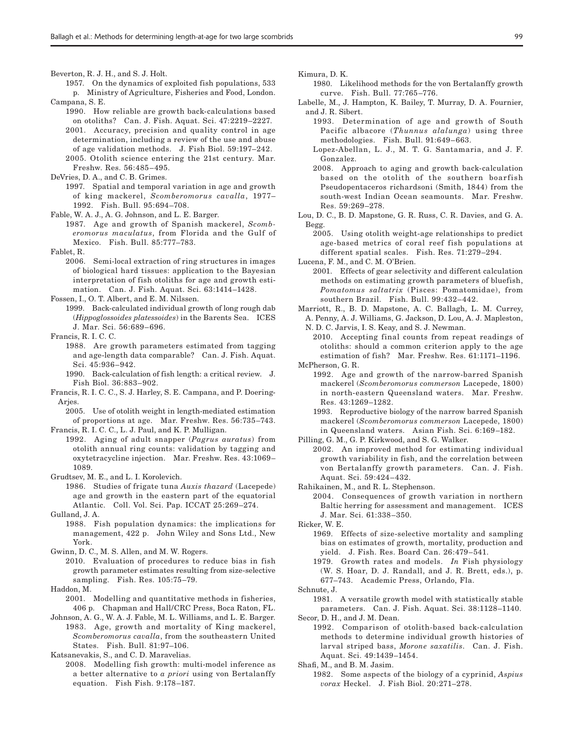Beverton, R. J. H., and S. J. Holt.

- 1957. On the dynamics of exploited fish populations, 533 p. Ministry of Agriculture, Fisheries and Food, London. Campana, S. E.
	- 1990. How reliable are growth back-calculations based on otoliths? Can. J. Fish. Aquat. Sci. 47:2219–2227. 2001. Accuracy, precision and quality control in age determination, including a review of the use and abuse of age validation methods. J. Fish Biol. 59:197–242.
	- 2005. Otolith science entering the 21st century. Mar. Freshw. Res. 56:485–495.
- DeVries, D. A., and C. B. Grimes.
	- 1997. Spatial and temporal variation in age and growth of king mackerel, *Scomberomorus cavalla*, 1977– 1992. Fish. Bull. 95:694–708.
- Fable, W. A. J., A. G. Johnson, and L. E. Barger.
- 1987. Age and growth of Spanish mackerel, *Scomberomorus maculatus*, from Florida and the Gulf of Mexico. Fish. Bull. 85:777–783.
- Fablet, R.
	- 2006. Semi-local extraction of ring structures in images of biological hard tissues: application to the Bayesian interpretation of fish otoliths for age and growth estimation. Can. J. Fish. Aquat. Sci. 63:1414–1428.
- Fossen, I., O. T. Albert, and E. M. Nilssen.
- 1999. Back-calculated individual growth of long rough dab (*Hippoglossoides platessoides*) in the Barents Sea. ICES J. Mar. Sci. 56:689–696.
- Francis, R. I. C. C.
	- 1988. Are growth parameters estimated from tagging and age-length data comparable? Can. J. Fish. Aquat. Sci. 45:936–942.
	- 1990. Back-calculation of fish length: a critical review. J. Fish Biol. 36:883–902.
- Francis, R. I. C. C., S. J. Harley, S. E. Campana, and P. Doering-Arjes.
	- 2005. Use of otolith weight in length-mediated estimation of proportions at age. Mar. Freshw. Res. 56:735–743.
- Francis, R. I. C. C., L. J. Paul, and K. P. Mulligan. 1992. Aging of adult snapper (*Pagrus auratus*) from otolith annual ring counts: validation by tagging and oxytetracycline injection. Mar. Freshw. Res. 43:1069– 1089.
- Grudtsev, M. E., and L. I. Korolevich.
- 1986. Studies of frigate tuna *Auxis thazard* (Lacepede) age and growth in the eastern part of the equatorial Atlantic. Coll. Vol. Sci. Pap. ICCAT 25:269–274.
- Gulland, J. A.
	- 1988. Fish population dynamics: the implications for management, 422 p. John Wiley and Sons Ltd., New York.
- Gwinn, D. C., M. S. Allen, and M. W. Rogers.
	- 2010. Evaluation of procedures to reduce bias in fish growth parameter estimates resulting from size-selective sampling. Fish. Res. 105:75–79.
- Haddon, M.
- 2001. Modelling and quantitative methods in fisheries, 406 p. Chapman and Hall/CRC Press, Boca Raton, FL.
- Johnson, A. G., W. A. J. Fable, M. L. Williams, and L. E. Barger. 1983. Age, growth and mortality of King mackerel, *Scomberomorus cavalla*, from the southeastern United States. Fish. Bull. 81:97–106.

Katsanevakis, S., and C. D. Maravelias.

2008. Modelling fish growth: multi-model inference as a better alternative to *a priori* using von Bertalanffy equation. Fish Fish. 9:178–187.

Kimura, D. K.

- 1980. Likelihood methods for the von Bertalanffy growth curve. Fish. Bull. 77:765–776.
- Labelle, M., J. Hampton, K. Bailey, T. Murray, D. A. Fournier, and J. R. Sibert.
	- 1993. Determination of age and growth of South Pacific albacore (*Thunnus alalunga*) using three methodologies. Fish. Bull. 91:649–663.
	- Lopez-Abellan, L. J., M. T. G. Santamaria, and J. F. Gonzalez.
	- 2008. Approach to aging and growth back-calculation based on the otolith of the southern boarfish Pseudopentaceros richardsoni (Smith, 1844) from the south-west Indian Ocean seamounts. Mar. Freshw. Res. 59:269–278.
- Lou, D. C., B. D. Mapstone, G. R. Russ, C. R. Davies, and G. A. Begg.
	- 2005. Using otolith weight-age relationships to predict age-based metrics of coral reef fish populations at different spatial scales. Fish. Res. 71:279–294.

Lucena, F. M., and C. M. O'Brien.

- 2001. Effects of gear selectivity and different calculation methods on estimating growth parameters of bluefish, *Pomatomus saltatrix* (Pisces: Pomatomidae), from southern Brazil. Fish. Bull. 99:432–442.
- Marriott, R., B. D. Mapstone, A. C. Ballagh, L. M. Currey, A. Penny, A. J. Williams, G. Jackson, D. Lou, A. J. Mapleston, N. D. C. Jarvis, I. S. Keay, and S. J. Newman.

2010. Accepting final counts from repeat readings of otoliths: should a common criterion apply to the age estimation of fish? Mar. Freshw. Res. 61:1171–1196. McPherson, G. R.

- 1992. Age and growth of the narrow-barred Spanish mackerel (*Scomberomorus commerson* Lacepede, 1800) in north-eastern Queensland waters. Mar. Freshw. Res. 43:1269–1282.
- 1993. Reproductive biology of the narrow barred Spanish mackerel (*Scomberomorus commerson* Lacepede, 1800) in Queensland waters. Asian Fish. Sci. 6:169–182.

Pilling, G. M., G. P. Kirkwood, and S. G. Walker.

2002. An improved method for estimating individual growth variability in fish, and the correlation between von Bertalanffy growth parameters. Can. J. Fish. Aquat. Sci. 59:424–432.

Rahikainen, M., and R. L. Stephenson.

2004. Consequences of growth variation in northern Baltic herring for assessment and management. ICES J. Mar. Sci. 61:338–350.

Ricker, W. E.

- 1969. Effects of size-selective mortality and sampling bias on estimates of growth, mortality, production and yield. J. Fish. Res. Board Can. 26:479–541.
- 1979. Growth rates and models. *In* Fish physiology (W. S. Hoar, D. J. Randall, and J. R. Brett, eds.), p. 677–743. Academic Press, Orlando, Fla.
- Schnute, J.

1981. A versatile growth model with statistically stable parameters. Can. J. Fish. Aquat. Sci. 38:1128–1140. Secor, D. H., and J. M. Dean.

1992. Comparison of otolith-based back-calculation methods to determine individual growth histories of larval striped bass, *Morone saxatilis*. Can. J. Fish. Aquat. Sci. 49:1439–1454.

Shafi, M., and B. M. Jasim.

1982. Some aspects of the biology of a cyprinid, *Aspius vorax* Heckel. J. Fish Biol. 20:271–278.